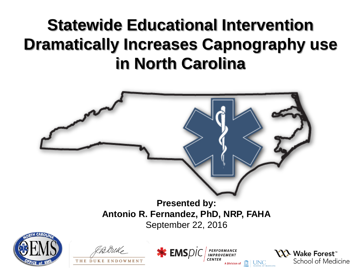#### **Statewide Educational Intervention Dramatically Increases Capnography use in North Carolina**

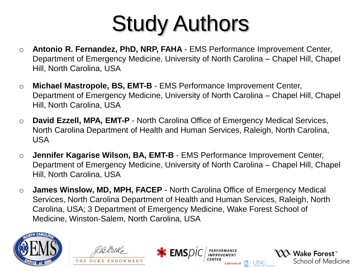# Study Authors

- o **Antonio R. Fernandez, PhD, NRP, FAHA**  EMS Performance Improvement Center, Department of Emergency Medicine, University of North Carolina – Chapel Hill, Chapel Hill, North Carolina, USA
- o **Michael Mastropole, BS, EMT-B**  EMS Performance Improvement Center, Department of Emergency Medicine, University of North Carolina – Chapel Hill, Chapel Hill, North Carolina, USA
- o **David Ezzell, MPA, EMT-P**  North Carolina Office of Emergency Medical Services, North Carolina Department of Health and Human Services, Raleigh, North Carolina, USA
- o **Jennifer Kagarise Wilson, BA, EMT-B**  EMS Performance Improvement Center, Department of Emergency Medicine, University of North Carolina – Chapel Hill, Chapel Hill, North Carolina, USA
- o **James Winslow, MD, MPH, FACEP**  North Carolina Office of Emergency Medical Services, North Carolina Department of Health and Human Services, Raleigh, North Carolina, USA; 3 Department of Emergency Medicine, Wake Forest School of Medicine, Winston-Salem, North Carolina, USA

**\*** EMSDI

PERFORMANCE<br>IMPROVEMENT

**YXX** Wake Forest<sup>"</sup>



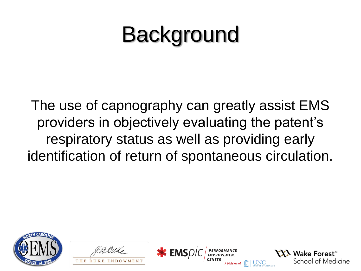## **Background**

The use of capnography can greatly assist EMS providers in objectively evaluating the patent's respiratory status as well as providing early identification of return of spontaneous circulation.







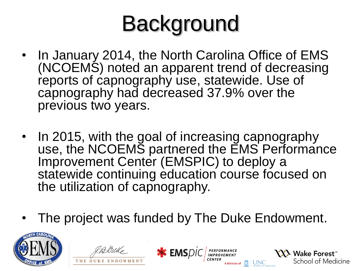# **Background**

- In January 2014, the North Carolina Office of EMS (NCOEMS) noted an apparent trend of decreasing reports of capnography use, statewide. Use of capnography had decreased 37.9% over the previous two years.
- In 2015, with the goal of increasing capnography use, the NCOEMS partnered the EMS Performance Improvement Center (EMSPIC) to deploy a statewide continuing education course focused on the utilization of capnography.
- The project was funded by The Duke Endowment.

**EMS**DIC **PERFORMANCE** 

**NA** Wake Forest



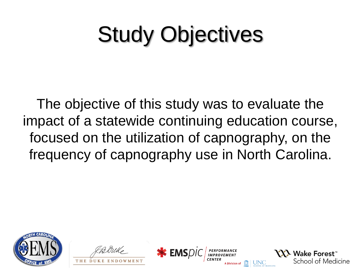# Study Objectives

The objective of this study was to evaluate the impact of a statewide continuing education course, focused on the utilization of capnography, on the frequency of capnography use in North Carolina.







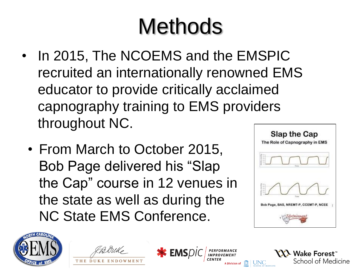# **Methods**

- In 2015, The NCOEMS and the EMSPIC recruited an internationally renowned EMS educator to provide critically acclaimed capnography training to EMS providers throughout NC.
	- From March to October 2015, Bob Page delivered his "Slap the Cap" course in 12 venues in the state as well as during the NC State EMS Conference.



**YXX Wake Forest**"





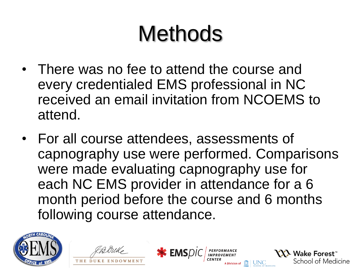# **Methods**

- There was no fee to attend the course and every credentialed EMS professional in NC received an email invitation from NCOEMS to attend.
- For all course attendees, assessments of capnography use were performed. Comparisons were made evaluating capnography use for each NC EMS provider in attendance for a 6 month period before the course and 6 months following course attendance.

**\*** EMSDIC

PERFORMANCE<br>IMPROVEMENT

**YXX** Wake Forest"



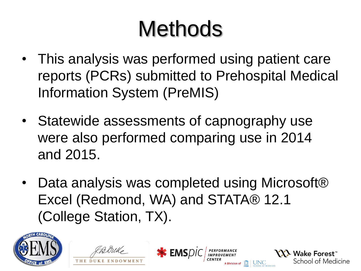# **Methods**

- This analysis was performed using patient care reports (PCRs) submitted to Prehospital Medical Information System (PreMIS)
- Statewide assessments of capnography use were also performed comparing use in 2014 and 2015.
- Data analysis was completed using Microsoft® Excel (Redmond, WA) and STATA® 12.1 (College Station, TX).

**\*** EMSDIC

**YXX** Wake Forest<sup>®</sup>



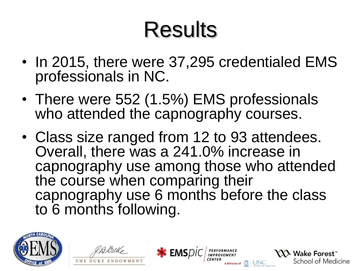- In 2015, there were 37,295 credentialed EMS professionals in NC.
- There were 552 (1.5%) EMS professionals who attended the capnography courses.
- Class size ranged from 12 to 93 attendees. Overall, there was a 241.0% increase in capnography use among those who attended the course when comparing their capnography use 6 months before the class to 6 months following.

**\*** EMSDIC

**YXX** Wake Forest<sup>\*</sup>



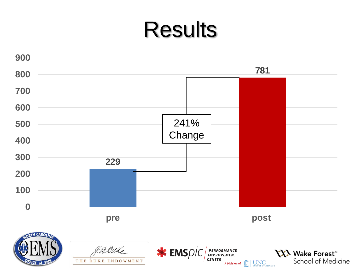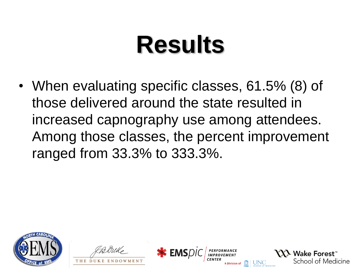• When evaluating specific classes, 61.5% (8) of those delivered around the state resulted in increased capnography use among attendees. Among those classes, the percent improvement ranged from 33.3% to 333.3%.







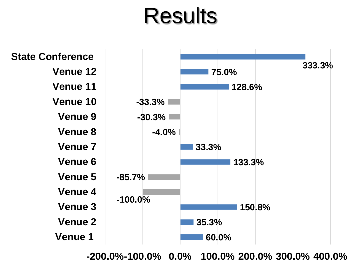

**-200.0%-100.0% 0.0% 100.0% 200.0% 300.0% 400.0%**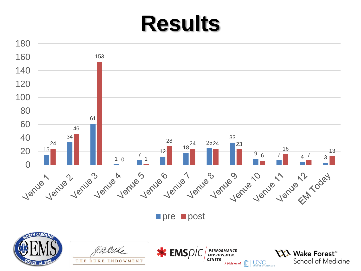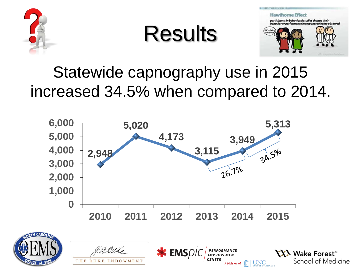

Results



#### Statewide capnography use in 2015 increased 34.5% when compared to 2014.

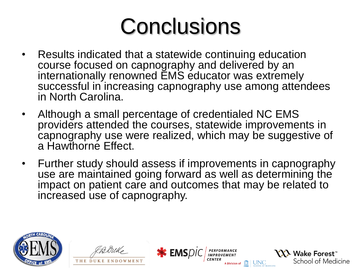## **Conclusions**

- Results indicated that a statewide continuing education course focused on capnography and delivered by an internationally renowned EMS educator was extremely successful in increasing capnography use among attendees in North Carolina.
- Although a small percentage of credentialed NC EMS providers attended the courses, statewide improvements in capnography use were realized, which may be suggestive of a Hawthorne Effect.
- Further study should assess if improvements in capnography use are maintained going forward as well as determining the impact on patient care and outcomes that may be related to increased use of capnography.

**\*** EMSDIC

PERFORMANCE<br>IMPROVEMENT

**YXI** Wake Forest"